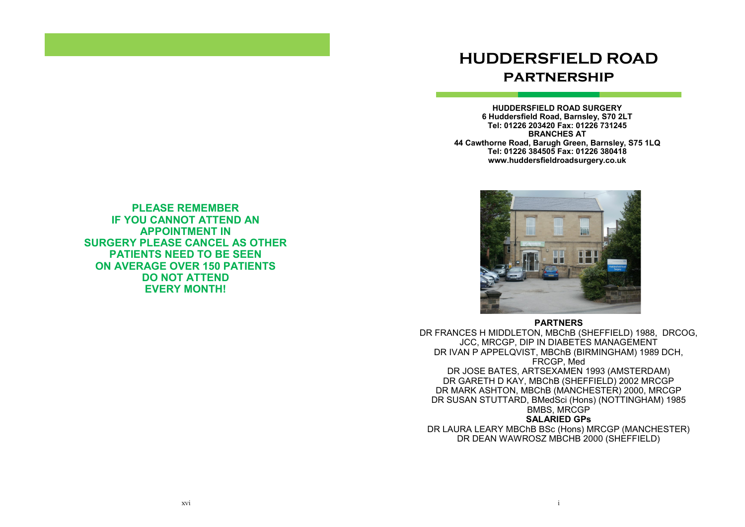# **HUDDERSFIELD ROAD partnership**

**HUDDERSFIELD ROAD SURGERY 6 Huddersfield Road, Barnsley, S70 2LT Tel: 01226 203420 Fax: 01226 731245 BRANCHES AT 44 Cawthorne Road, Barugh Green, Barnsley, S75 1LQ Tel: 01226 384505 Fax: 01226 380418 www.huddersfieldroadsurgery.co.uk**



**PARTNERS** DR FRANCES H MIDDLETON, MBChB (SHEFFIELD) 1988, DRCOG, JCC, MRCGP, DIP IN DIABETES MANAGEMENT DR IVAN P APPELQVIST, MBChB (BIRMINGHAM) 1989 DCH, FRCGP, Med DR JOSE BATES, ARTSEXAMEN 1993 (AMSTERDAM) DR GARETH D KAY, MBChB (SHEFFIELD) 2002 MRCGP DR MARK ASHTON, MBChB (MANCHESTER) 2000, MRCGP DR SUSAN STUTTARD, BMedSci (Hons) (NOTTINGHAM) 1985 BMBS, MRCGP **SALARIED GPs**

DR LAURA LEARY MBChB BSc (Hons) MRCGP (MANCHESTER) DR DEAN WAWROSZ MBCHB 2000 (SHEFFIELD)

**PLEASE REMEMBER IF YOU CANNOT ATTEND AN APPOINTMENT IN SURGERY PLEASE CANCEL AS OTHER PATIENTS NEED TO BE SEEN ON AVERAGE OVER 150 PATIENTS DO NOT ATTEND EVERY MONTH!**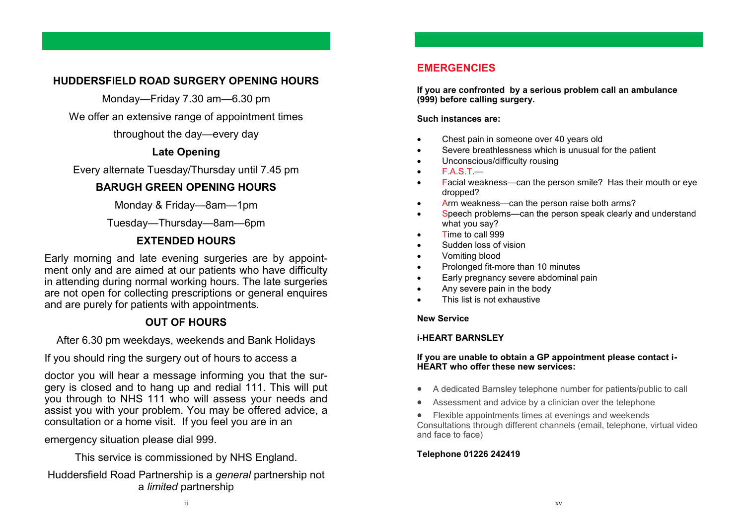# **HUDDERSFIELD ROAD SURGERY OPENING HOURS**

Monday—Friday 7.30 am—6.30 pm

We offer an extensive range of appointment times

throughout the day—every day

# **Late Opening**

Every alternate Tuesday/Thursday until 7.45 pm

# **BARUGH GREEN OPENING HOURS**

Monday & Friday—8am—1pm

Tuesday—Thursday—8am—6pm

# **EXTENDED HOURS**

Early morning and late evening surgeries are by appointment only and are aimed at our patients who have difficulty in attending during normal working hours. The late surgeries are not open for collecting prescriptions or general enquires and are purely for patients with appointments.

# **OUT OF HOURS**

After 6.30 pm weekdays, weekends and Bank Holidays

If you should ring the surgery out of hours to access a

doctor you will hear a message informing you that the surgery is closed and to hang up and redial 111. This will put you through to NHS 111 who will assess your needs and assist you with your problem. You may be offered advice, a consultation or a home visit. If you feel you are in an

emergency situation please dial 999.

This service is commissioned by NHS England.

## Huddersfield Road Partnership is a *general* partnership not a *limited* partnership

# **EMERGENCIES**

**If you are confronted by a serious problem call an ambulance (999) before calling surgery.**

**Such instances are:**

- Chest pain in someone over 40 years old
- Severe breathlessness which is unusual for the patient
- Unconscious/difficulty rousing
- $F.A.S.T.$ —
- Facial weakness—can the person smile? Has their mouth or eye dropped?
- Arm weakness—can the person raise both arms?
- Speech problems—can the person speak clearly and understand what you say?
- Time to call 999
- Sudden loss of vision
- Vomiting blood
- Prolonged fit-more than 10 minutes
- Early pregnancy severe abdominal pain
- Any severe pain in the body
- This list is not exhaustive

### **New Service**

### **i-HEART BARNSLEY**

### **If you are unable to obtain a GP appointment please contact i-HEART who offer these new services:**

- A dedicated Barnsley telephone number for patients/public to call
- Assessment and advice by a clinician over the telephone
- Flexible appointments times at evenings and weekends Consultations through different channels (email, telephone, virtual video

### **Telephone 01226 242419**

and face to face)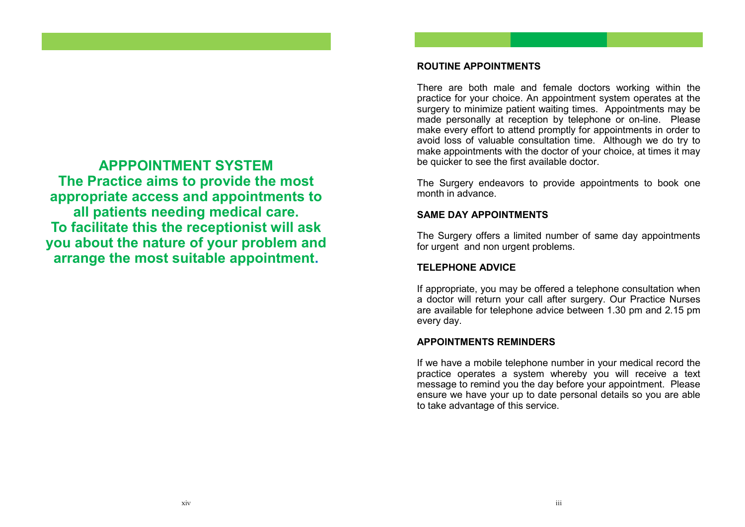# **APPPOINTMENT SYSTEM The Practice aims to provide the most appropriate access and appointments to all patients needing medical care. To facilitate this the receptionist will ask you about the nature of your problem and arrange the most suitable appointment.**

### **ROUTINE APPOINTMENTS**

There are both male and female doctors working within the practice for your choice. An appointment system operates at the surgery to minimize patient waiting times. Appointments may be made personally at reception by telephone or on-line. Please make every effort to attend promptly for appointments in order to avoid loss of valuable consultation time. Although we do try to make appointments with the doctor of your choice, at times it may be quicker to see the first available doctor.

The Surgery endeavors to provide appointments to book one month in advance.

### **SAME DAY APPOINTMENTS**

The Surgery offers a limited number of same day appointments for urgent and non urgent problems.

# **TELEPHONE ADVICE**

If appropriate, you may be offered a telephone consultation when a doctor will return your call after surgery. Our Practice Nurses are available for telephone advice between 1.30 pm and 2.15 pm every day.

# **APPOINTMENTS REMINDERS**

If we have a mobile telephone number in your medical record the practice operates a system whereby you will receive a text message to remind you the day before your appointment. Please ensure we have your up to date personal details so you are able to take advantage of this service.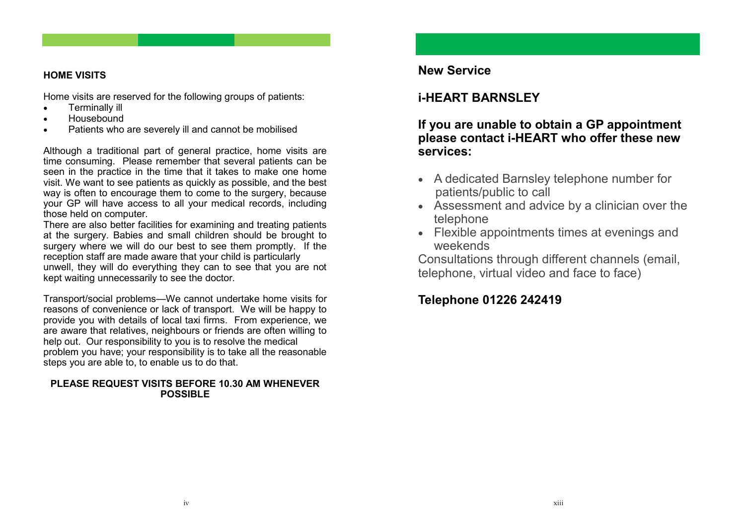### **HOME VISITS**

Home visits are reserved for the following groups of patients:

- Terminally ill
- Housebound
- Patients who are severely ill and cannot be mobilised

Although a traditional part of general practice, home visits are time consuming. Please remember that several patients can be seen in the practice in the time that it takes to make one home visit. We want to see patients as quickly as possible, and the best way is often to encourage them to come to the surgery, because your GP will have access to all your medical records, including those held on computer.

There are also better facilities for examining and treating patients at the surgery. Babies and small children should be brought to surgery where we will do our best to see them promptly. If the reception staff are made aware that your child is particularly unwell, they will do everything they can to see that you are not kept waiting unnecessarily to see the doctor.

Transport/social problems—We cannot undertake home visits for reasons of convenience or lack of transport. We will be happy to provide you with details of local taxi firms. From experience, we are aware that relatives, neighbours or friends are often willing to help out. Our responsibility to you is to resolve the medical problem you have; your responsibility is to take all the reasonable steps you are able to, to enable us to do that.

### **PLEASE REQUEST VISITS BEFORE 10.30 AM WHENEVER POSSIBLE**

# **New Service**

# **i-HEART BARNSLEY**

**If you are unable to obtain a GP appointment please contact i-HEART who offer these new services:**

- A dedicated Barnsley telephone number for patients/public to call
- Assessment and advice by a clinician over the telephone
- Flexible appointments times at evenings and weekends

Consultations through different channels (email, telephone, virtual video and face to face)

# **Telephone 01226 242419**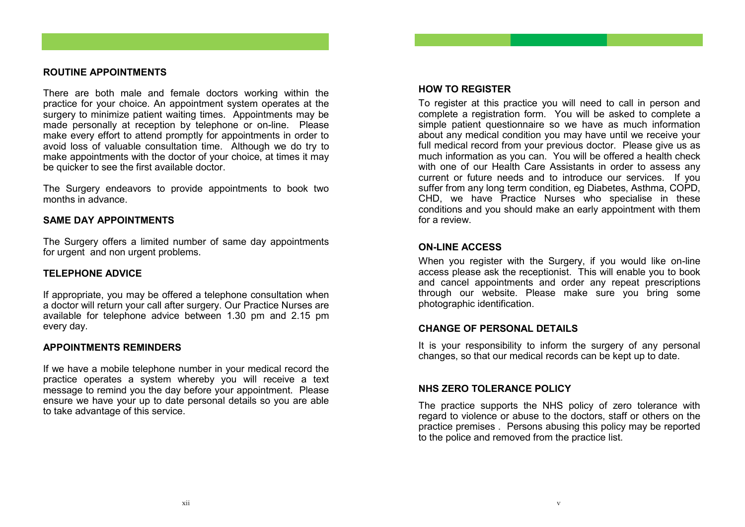### **ROUTINE APPOINTMENTS**

There are both male and female doctors working within the practice for your choice. An appointment system operates at the surgery to minimize patient waiting times. Appointments may be made personally at reception by telephone or on-line. Please make every effort to attend promptly for appointments in order to avoid loss of valuable consultation time. Although we do try to make appointments with the doctor of your choice, at times it may be quicker to see the first available doctor.

The Surgery endeavors to provide appointments to book two months in advance

### **SAME DAY APPOINTMENTS**

The Surgery offers a limited number of same day appointments for urgent and non urgent problems.

### **TELEPHONE ADVICE**

If appropriate, you may be offered a telephone consultation when a doctor will return your call after surgery. Our Practice Nurses are available for telephone advice between 1.30 pm and 2.15 pm every day.

### **APPOINTMENTS REMINDERS**

If we have a mobile telephone number in your medical record the practice operates a system whereby you will receive a text message to remind you the day before your appointment. Please ensure we have your up to date personal details so you are able to take advantage of this service.

### **HOW TO REGISTER**

To register at this practice you will need to call in person and complete a registration form. You will be asked to complete a simple patient questionnaire so we have as much information about any medical condition you may have until we receive your full medical record from your previous doctor. Please give us as much information as you can. You will be offered a health check with one of our Health Care Assistants in order to assess any current or future needs and to introduce our services. If you suffer from any long term condition, eg Diabetes, Asthma, COPD, CHD, we have Practice Nurses who specialise in these conditions and you should make an early appointment with them for a review.

### **ON-LINE ACCESS**

When you register with the Surgery, if you would like on-line access please ask the receptionist. This will enable you to book and cancel appointments and order any repeat prescriptions through our website. Please make sure you bring some photographic identification.

### **CHANGE OF PERSONAL DETAILS**

It is your responsibility to inform the surgery of any personal changes, so that our medical records can be kept up to date.

### **NHS ZERO TOLERANCE POLICY**

The practice supports the NHS policy of zero tolerance with regard to violence or abuse to the doctors, staff or others on the practice premises . Persons abusing this policy may be reported to the police and removed from the practice list.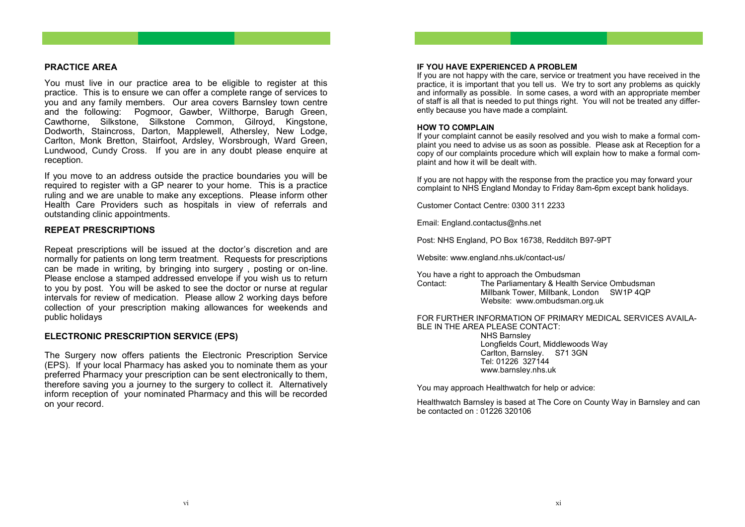#### **PRACTICE AREA**

You must live in our practice area to be eligible to register at this practice. This is to ensure we can offer a complete range of services to you and any family members. Our area covers Barnsley town centre and the following: Pogmoor, Gawber, Wilthorpe, Barugh Green, Cawthorne, Silkstone, Silkstone Common, Gilroyd, Kingstone, Dodworth, Staincross, Darton, Mapplewell, Athersley, New Lodge, Carlton, Monk Bretton, Stairfoot, Ardsley, Worsbrough, Ward Green, Lundwood, Cundy Cross. If you are in any doubt please enquire at reception.

If you move to an address outside the practice boundaries you will be required to register with a GP nearer to your home. This is a practice ruling and we are unable to make any exceptions. Please inform other Health Care Providers such as hospitals in view of referrals and outstanding clinic appointments.

#### **REPEAT PRESCRIPTIONS**

Repeat prescriptions will be issued at the doctor's discretion and are normally for patients on long term treatment. Requests for prescriptions can be made in writing, by bringing into surgery , posting or on-line. Please enclose a stamped addressed envelope if you wish us to return to you by post. You will be asked to see the doctor or nurse at regular intervals for review of medication. Please allow 2 working days before collection of your prescription making allowances for weekends and public holidays

#### **ELECTRONIC PRESCRIPTION SERVICE (EPS)**

The Surgery now offers patients the Electronic Prescription Service (EPS). If your local Pharmacy has asked you to nominate them as your preferred Pharmacy your prescription can be sent electronically to them, therefore saving you a journey to the surgery to collect it. Alternatively inform reception of your nominated Pharmacy and this will be recorded on your record.

#### **IF YOU HAVE EXPERIENCED A PROBLEM**

If you are not happy with the care, service or treatment you have received in the practice, it is important that you tell us. We try to sort any problems as quickly and informally as possible. In some cases, a word with an appropriate member of staff is all that is needed to put things right. You will not be treated any differently because you have made a complaint.

#### **HOW TO COMPLAIN**

If your complaint cannot be easily resolved and you wish to make a formal complaint you need to advise us as soon as possible. Please ask at Reception for a copy of our complaints procedure which will explain how to make a formal complaint and how it will be dealt with.

If you are not happy with the response from the practice you may forward your complaint to NHS England Monday to Friday 8am-6pm except bank holidays.

Customer Contact Centre: 0300 311 2233

Email: England.contactus@nhs.net

Post: NHS England, PO Box 16738, Redditch B97-9PT

Website: www.england.nhs.uk/contact-us/

You have a right to approach the Ombudsman<br>Contact: The Parliamentary & Health

The Parliamentary & Health Service Ombudsman Millbank Tower, Millbank, London SW1P 4QP Website: www.ombudsman.org.uk

#### FOR FURTHER INFORMATION OF PRIMARY MEDICAL SERVICES AVAILA-BLE IN THE AREA PLEASE CONTACT: NHS Barnsley Longfields Court, Middlewoods Way Carlton, Barnsley. S71 3GN Tel: 01226 327144

www.barnsley.nhs.uk

You may approach Healthwatch for help or advice:

Healthwatch Barnsley is based at The Core on County Way in Barnsley and can be contacted on : 01226 320106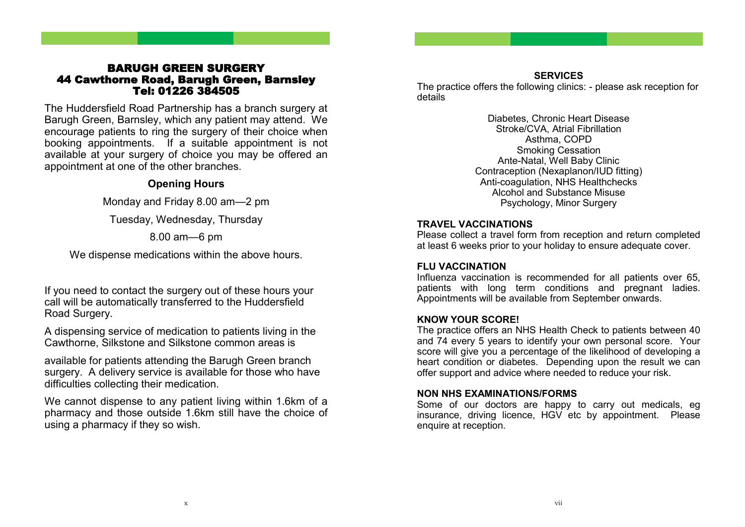## BARUGH GREEN SURGERY 44 Cawthorne Road, Barugh Green, Barnsley Tel: 01226 384505

The Huddersfield Road Partnership has a branch surgery at Barugh Green, Barnsley, which any patient may attend. We encourage patients to ring the surgery of their choice when booking appointments. If a suitable appointment is not available at your surgery of choice you may be offered an appointment at one of the other branches.

# **Opening Hours**

Monday and Friday 8.00 am—2 pm

Tuesday, Wednesday, Thursday

# 8.00 am—6 pm

We dispense medications within the above hours.

If you need to contact the surgery out of these hours your call will be automatically transferred to the Huddersfield Road Surgery.

A dispensing service of medication to patients living in the Cawthorne, Silkstone and Silkstone common areas is

available for patients attending the Barugh Green branch surgery. A delivery service is available for those who have difficulties collecting their medication.

We cannot dispense to any patient living within 1.6km of a pharmacy and those outside 1.6km still have the choice of using a pharmacy if they so wish.

**SERVICES** The practice offers the following clinics: - please ask reception for details

> Diabetes, Chronic Heart Disease Stroke/CVA, Atrial Fibrillation Asthma, COPD Smoking Cessation Ante-Natal, Well Baby Clinic Contraception (Nexaplanon/IUD fitting) Anti-coagulation, NHS Healthchecks Alcohol and Substance Misuse Psychology, Minor Surgery

# **TRAVEL VACCINATIONS**

Please collect a travel form from reception and return completed at least 6 weeks prior to your holiday to ensure adequate cover.

## **FLU VACCINATION**

Influenza vaccination is recommended for all patients over 65, patients with long term conditions and pregnant ladies. Appointments will be available from September onwards.

# **KNOW YOUR SCORE!**

The practice offers an NHS Health Check to patients between 40 and 74 every 5 years to identify your own personal score. Your score will give you a percentage of the likelihood of developing a heart condition or diabetes. Depending upon the result we can offer support and advice where needed to reduce your risk.

## **NON NHS EXAMINATIONS/FORMS**

Some of our doctors are happy to carry out medicals, eg insurance, driving licence, HGV etc by appointment. Please enquire at reception.